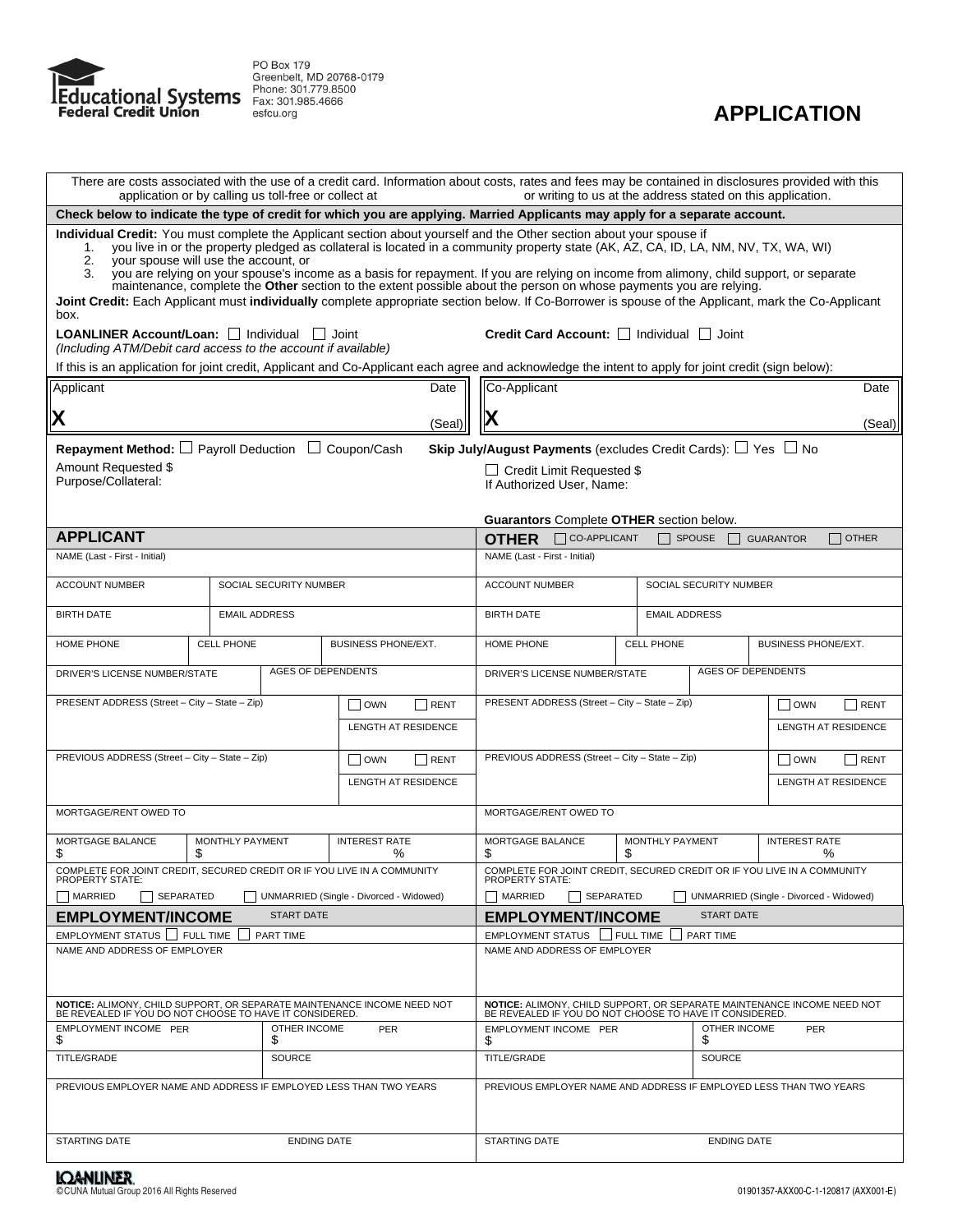



| There are costs associated with the use of a credit card. Information about costs, rates and fees may be contained in disclosures provided with this<br>application or by calling us toll-free or collect at<br>or writing to us at the address stated on this application.                                                                                                                                                                                                                                                                                                                                                                                                                                                                           |                                                                                                                             |                            |                                                                                                                                                               |                                                                                                                                            |                                           |                                                         |                                                                         |                                                                         |  |
|-------------------------------------------------------------------------------------------------------------------------------------------------------------------------------------------------------------------------------------------------------------------------------------------------------------------------------------------------------------------------------------------------------------------------------------------------------------------------------------------------------------------------------------------------------------------------------------------------------------------------------------------------------------------------------------------------------------------------------------------------------|-----------------------------------------------------------------------------------------------------------------------------|----------------------------|---------------------------------------------------------------------------------------------------------------------------------------------------------------|--------------------------------------------------------------------------------------------------------------------------------------------|-------------------------------------------|---------------------------------------------------------|-------------------------------------------------------------------------|-------------------------------------------------------------------------|--|
|                                                                                                                                                                                                                                                                                                                                                                                                                                                                                                                                                                                                                                                                                                                                                       | Check below to indicate the type of credit for which you are applying. Married Applicants may apply for a separate account. |                            |                                                                                                                                                               |                                                                                                                                            |                                           |                                                         |                                                                         |                                                                         |  |
| Individual Credit: You must complete the Applicant section about yourself and the Other section about your spouse if<br>you live in or the property pledged as collateral is located in a community property state (AK, AZ, CA, ID, LA, NM, NV, TX, WA, WI)<br>1.<br>your spouse will use the account, or<br>2.<br>you are relying on your spouse's income as a basis for repayment. If you are relying on income from alimony, child support, or separate<br>3.<br>maintenance, complete the Other section to the extent possible about the person on whose payments you are relying.<br>Joint Credit: Each Applicant must individually complete appropriate section below. If Co-Borrower is spouse of the Applicant, mark the Co-Applicant<br>box. |                                                                                                                             |                            |                                                                                                                                                               |                                                                                                                                            |                                           |                                                         |                                                                         |                                                                         |  |
| <b>LOANLINER Account/Loan:</b> I Individual<br>(Including ATM/Debit card access to the account if available)                                                                                                                                                                                                                                                                                                                                                                                                                                                                                                                                                                                                                                          |                                                                                                                             |                            | Joint<br>If this is an application for joint credit, Applicant and Co-Applicant each agree and acknowledge the intent to apply for joint credit (sign below): |                                                                                                                                            |                                           | Credit Card Account: Individual Joint                   |                                                                         |                                                                         |  |
| Applicant                                                                                                                                                                                                                                                                                                                                                                                                                                                                                                                                                                                                                                                                                                                                             |                                                                                                                             |                            | Date                                                                                                                                                          | Co-Applicant                                                                                                                               |                                           |                                                         |                                                                         | Date                                                                    |  |
| IХ                                                                                                                                                                                                                                                                                                                                                                                                                                                                                                                                                                                                                                                                                                                                                    |                                                                                                                             |                            | (Seal)                                                                                                                                                        | Х                                                                                                                                          |                                           |                                                         |                                                                         | (Seal)                                                                  |  |
|                                                                                                                                                                                                                                                                                                                                                                                                                                                                                                                                                                                                                                                                                                                                                       |                                                                                                                             |                            |                                                                                                                                                               |                                                                                                                                            |                                           |                                                         |                                                                         |                                                                         |  |
| <b>Repayment Method:</b> $\Box$ Payroll Deduction $\Box$ Coupon/Cash<br>Amount Requested \$<br>Purpose/Collateral:                                                                                                                                                                                                                                                                                                                                                                                                                                                                                                                                                                                                                                    |                                                                                                                             |                            |                                                                                                                                                               | <b>Skip July/August Payments</b> (excludes Credit Cards): $\Box$ Yes $\Box$ No<br>□ Credit Limit Requested \$<br>If Authorized User, Name: |                                           |                                                         |                                                                         |                                                                         |  |
|                                                                                                                                                                                                                                                                                                                                                                                                                                                                                                                                                                                                                                                                                                                                                       |                                                                                                                             |                            |                                                                                                                                                               |                                                                                                                                            |                                           | <b>Guarantors Complete OTHER section below.</b>         |                                                                         |                                                                         |  |
| <b>APPLICANT</b>                                                                                                                                                                                                                                                                                                                                                                                                                                                                                                                                                                                                                                                                                                                                      |                                                                                                                             |                            |                                                                                                                                                               | <b>OTHER</b>                                                                                                                               | CO-APPLICANT                              |                                                         | SPOUSE                                                                  | <b>OTHER</b><br><b>GUARANTOR</b>                                        |  |
| NAME (Last - First - Initial)                                                                                                                                                                                                                                                                                                                                                                                                                                                                                                                                                                                                                                                                                                                         |                                                                                                                             |                            |                                                                                                                                                               | NAME (Last - First - Initial)                                                                                                              |                                           |                                                         |                                                                         |                                                                         |  |
| <b>ACCOUNT NUMBER</b>                                                                                                                                                                                                                                                                                                                                                                                                                                                                                                                                                                                                                                                                                                                                 |                                                                                                                             | SOCIAL SECURITY NUMBER     |                                                                                                                                                               |                                                                                                                                            | <b>ACCOUNT NUMBER</b>                     |                                                         | SOCIAL SECURITY NUMBER                                                  |                                                                         |  |
| <b>BIRTH DATE</b>                                                                                                                                                                                                                                                                                                                                                                                                                                                                                                                                                                                                                                                                                                                                     |                                                                                                                             | <b>EMAIL ADDRESS</b>       |                                                                                                                                                               |                                                                                                                                            | <b>EMAIL ADDRESS</b><br><b>BIRTH DATE</b> |                                                         |                                                                         |                                                                         |  |
| HOME PHONE                                                                                                                                                                                                                                                                                                                                                                                                                                                                                                                                                                                                                                                                                                                                            | <b>CELL PHONE</b>                                                                                                           | <b>BUSINESS PHONE/EXT.</b> |                                                                                                                                                               | HOME PHONE                                                                                                                                 |                                           | <b>CELL PHONE</b>                                       | <b>BUSINESS PHONE/EXT.</b>                                              |                                                                         |  |
| <b>AGES OF DEPENDENTS</b><br>DRIVER'S LICENSE NUMBER/STATE                                                                                                                                                                                                                                                                                                                                                                                                                                                                                                                                                                                                                                                                                            |                                                                                                                             |                            | <b>AGES OF DEPENDENTS</b><br>DRIVER'S LICENSE NUMBER/STATE                                                                                                    |                                                                                                                                            |                                           |                                                         |                                                                         |                                                                         |  |
| PRESENT ADDRESS (Street - City - State - Zip)<br>$\vert$ OWN<br>RENT                                                                                                                                                                                                                                                                                                                                                                                                                                                                                                                                                                                                                                                                                  |                                                                                                                             |                            | PRESENT ADDRESS (Street - City - State - Zip)<br><b>OWN</b><br>RENT                                                                                           |                                                                                                                                            |                                           |                                                         |                                                                         |                                                                         |  |
|                                                                                                                                                                                                                                                                                                                                                                                                                                                                                                                                                                                                                                                                                                                                                       |                                                                                                                             |                            | <b>LENGTH AT RESIDENCE</b>                                                                                                                                    |                                                                                                                                            |                                           |                                                         |                                                                         | LENGTH AT RESIDENCE                                                     |  |
| PREVIOUS ADDRESS (Street - City - State - Zip)                                                                                                                                                                                                                                                                                                                                                                                                                                                                                                                                                                                                                                                                                                        |                                                                                                                             |                            | $\vert$ $\vert$ OWN<br>  RENT                                                                                                                                 | PREVIOUS ADDRESS (Street - City - State - Zip)<br>$\vert$ $\vert$ OWN<br>RENT                                                              |                                           |                                                         |                                                                         |                                                                         |  |
| <b>LENGTH AT RESIDENCE</b>                                                                                                                                                                                                                                                                                                                                                                                                                                                                                                                                                                                                                                                                                                                            |                                                                                                                             |                            | LENGTH AT RESIDENCE                                                                                                                                           |                                                                                                                                            |                                           |                                                         |                                                                         |                                                                         |  |
| MORTGAGE/RENT OWED TO                                                                                                                                                                                                                                                                                                                                                                                                                                                                                                                                                                                                                                                                                                                                 |                                                                                                                             |                            | MORTGAGE/RENT OWED TO                                                                                                                                         |                                                                                                                                            |                                           |                                                         |                                                                         |                                                                         |  |
| MORTGAGE BALANCE<br>MONTHLY PAYMENT<br>\$<br>\$                                                                                                                                                                                                                                                                                                                                                                                                                                                                                                                                                                                                                                                                                                       |                                                                                                                             | <b>INTEREST RATE</b><br>℅  | MORTGAGE BALANCE<br>MONTHLY PAYMENT<br>\$<br>\$                                                                                                               |                                                                                                                                            |                                           | <b>INTEREST RATE</b><br>℅                               |                                                                         |                                                                         |  |
| COMPLETE FOR JOINT CREDIT, SECURED CREDIT OR IF YOU LIVE IN A COMMUNITY<br>PROPERTY STATE:                                                                                                                                                                                                                                                                                                                                                                                                                                                                                                                                                                                                                                                            |                                                                                                                             |                            | <b>PROPERTY STATE:</b>                                                                                                                                        |                                                                                                                                            |                                           |                                                         | COMPLETE FOR JOINT CREDIT, SECURED CREDIT OR IF YOU LIVE IN A COMMUNITY |                                                                         |  |
| MARRIED<br>SEPARATED                                                                                                                                                                                                                                                                                                                                                                                                                                                                                                                                                                                                                                                                                                                                  |                                                                                                                             |                            | UNMARRIED (Single - Divorced - Widowed)                                                                                                                       | MARRIED                                                                                                                                    | SEPARATED                                 |                                                         |                                                                         | UNMARRIED (Single - Divorced - Widowed)                                 |  |
| <b>EMPLOYMENT/INCOME</b><br><b>START DATE</b>                                                                                                                                                                                                                                                                                                                                                                                                                                                                                                                                                                                                                                                                                                         |                                                                                                                             |                            | <b>EMPLOYMENT/INCOME</b><br><b>START DATE</b>                                                                                                                 |                                                                                                                                            |                                           |                                                         |                                                                         |                                                                         |  |
| EMPLOYMENT STATUS   FULL TIME<br>NAME AND ADDRESS OF EMPLOYER                                                                                                                                                                                                                                                                                                                                                                                                                                                                                                                                                                                                                                                                                         |                                                                                                                             | PART TIME                  |                                                                                                                                                               | EMPLOYMENT STATUS   FULL TIME<br>NAME AND ADDRESS OF EMPLOYER                                                                              |                                           |                                                         | PART TIME                                                               |                                                                         |  |
| <b>NOTICE: ALIMONY, CHILD SUPPORT, OR SEPARATE MAINTENANCE INCOME NEED NOT</b><br>BE REVEALED IF YOU DO NOT CHOOSE TO HAVE IT CONSIDERED.                                                                                                                                                                                                                                                                                                                                                                                                                                                                                                                                                                                                             |                                                                                                                             |                            |                                                                                                                                                               |                                                                                                                                            |                                           | BE REVEALED IF YOU DO NOT CHOOSE TO HAVE IT CONSIDERED. |                                                                         | NOTICE: ALIMONY, CHILD SUPPORT, OR SEPARATE MAINTENANCE INCOME NEED NOT |  |
| EMPLOYMENT INCOME PER<br>OTHER INCOME<br>PER<br>\$<br>\$                                                                                                                                                                                                                                                                                                                                                                                                                                                                                                                                                                                                                                                                                              |                                                                                                                             |                            | EMPLOYMENT INCOME PER<br>OTHER INCOME<br>\$<br>S                                                                                                              |                                                                                                                                            | PER                                       |                                                         |                                                                         |                                                                         |  |
| TITLE/GRADE<br><b>SOURCE</b>                                                                                                                                                                                                                                                                                                                                                                                                                                                                                                                                                                                                                                                                                                                          |                                                                                                                             |                            | TITLE/GRADE                                                                                                                                                   |                                                                                                                                            | <b>SOURCE</b>                             |                                                         |                                                                         |                                                                         |  |
| PREVIOUS EMPLOYER NAME AND ADDRESS IF EMPLOYED LESS THAN TWO YEARS                                                                                                                                                                                                                                                                                                                                                                                                                                                                                                                                                                                                                                                                                    |                                                                                                                             |                            |                                                                                                                                                               |                                                                                                                                            |                                           |                                                         | PREVIOUS EMPLOYER NAME AND ADDRESS IF EMPLOYED LESS THAN TWO YEARS      |                                                                         |  |
| <b>STARTING DATE</b><br><b>ENDING DATE</b>                                                                                                                                                                                                                                                                                                                                                                                                                                                                                                                                                                                                                                                                                                            |                                                                                                                             |                            | <b>STARTING DATE</b><br><b>ENDING DATE</b>                                                                                                                    |                                                                                                                                            |                                           |                                                         |                                                                         |                                                                         |  |